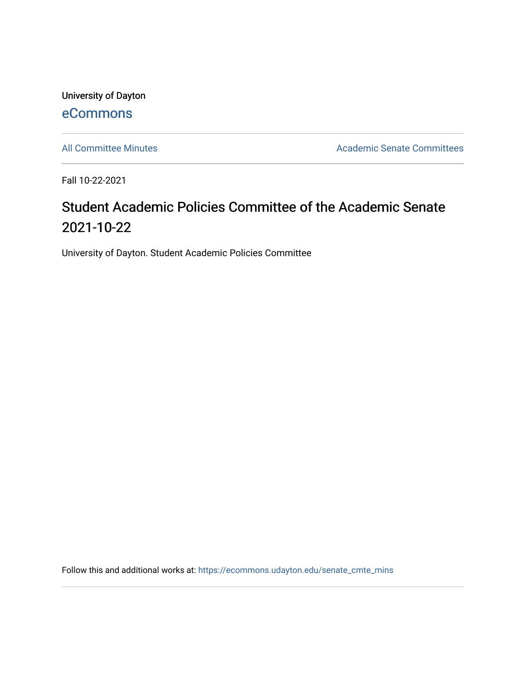University of Dayton [eCommons](https://ecommons.udayton.edu/)

[All Committee Minutes](https://ecommons.udayton.edu/senate_cmte_mins) **Academic Senate Committees** 

Fall 10-22-2021

## Student Academic Policies Committee of the Academic Senate 2021-10-22

University of Dayton. Student Academic Policies Committee

Follow this and additional works at: [https://ecommons.udayton.edu/senate\\_cmte\\_mins](https://ecommons.udayton.edu/senate_cmte_mins?utm_source=ecommons.udayton.edu%2Fsenate_cmte_mins%2F477&utm_medium=PDF&utm_campaign=PDFCoverPages)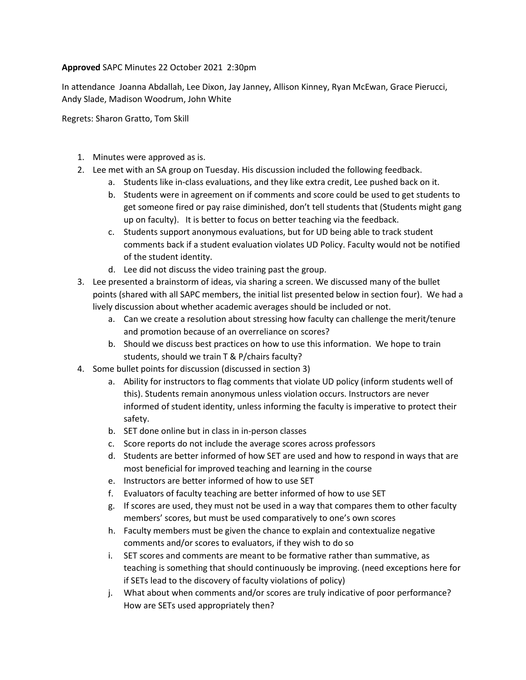## **Approved** SAPC Minutes 22 October 2021 2:30pm

In attendance Joanna Abdallah, Lee Dixon, Jay Janney, Allison Kinney, Ryan McEwan, Grace Pierucci, Andy Slade, Madison Woodrum, John White

Regrets: Sharon Gratto, Tom Skill

- 1. Minutes were approved as is.
- 2. Lee met with an SA group on Tuesday. His discussion included the following feedback.
	- a. Students like in-class evaluations, and they like extra credit, Lee pushed back on it.
	- b. Students were in agreement on if comments and score could be used to get students to get someone fired or pay raise diminished, don't tell students that (Students might gang up on faculty). It is better to focus on better teaching via the feedback.
	- c. Students support anonymous evaluations, but for UD being able to track student comments back if a student evaluation violates UD Policy. Faculty would not be notified of the student identity.
	- d. Lee did not discuss the video training past the group.
- 3. Lee presented a brainstorm of ideas, via sharing a screen. We discussed many of the bullet points (shared with all SAPC members, the initial list presented below in section four). We had a lively discussion about whether academic averages should be included or not.
	- a. Can we create a resolution about stressing how faculty can challenge the merit/tenure and promotion because of an overreliance on scores?
	- b. Should we discuss best practices on how to use this information. We hope to train students, should we train T & P/chairs faculty?
- 4. Some bullet points for discussion (discussed in section 3)
	- a. Ability for instructors to flag comments that violate UD policy (inform students well of this). Students remain anonymous unless violation occurs. Instructors are never informed of student identity, unless informing the faculty is imperative to protect their safety.
	- b. SET done online but in class in in-person classes
	- c. Score reports do not include the average scores across professors
	- d. Students are better informed of how SET are used and how to respond in ways that are most beneficial for improved teaching and learning in the course
	- e. Instructors are better informed of how to use SET
	- f. Evaluators of faculty teaching are better informed of how to use SET
	- g. If scores are used, they must not be used in a way that compares them to other faculty members' scores, but must be used comparatively to one's own scores
	- h. Faculty members must be given the chance to explain and contextualize negative comments and/or scores to evaluators, if they wish to do so
	- i. SET scores and comments are meant to be formative rather than summative, as teaching is something that should continuously be improving. (need exceptions here for if SETs lead to the discovery of faculty violations of policy)
	- j. What about when comments and/or scores are truly indicative of poor performance? How are SETs used appropriately then?